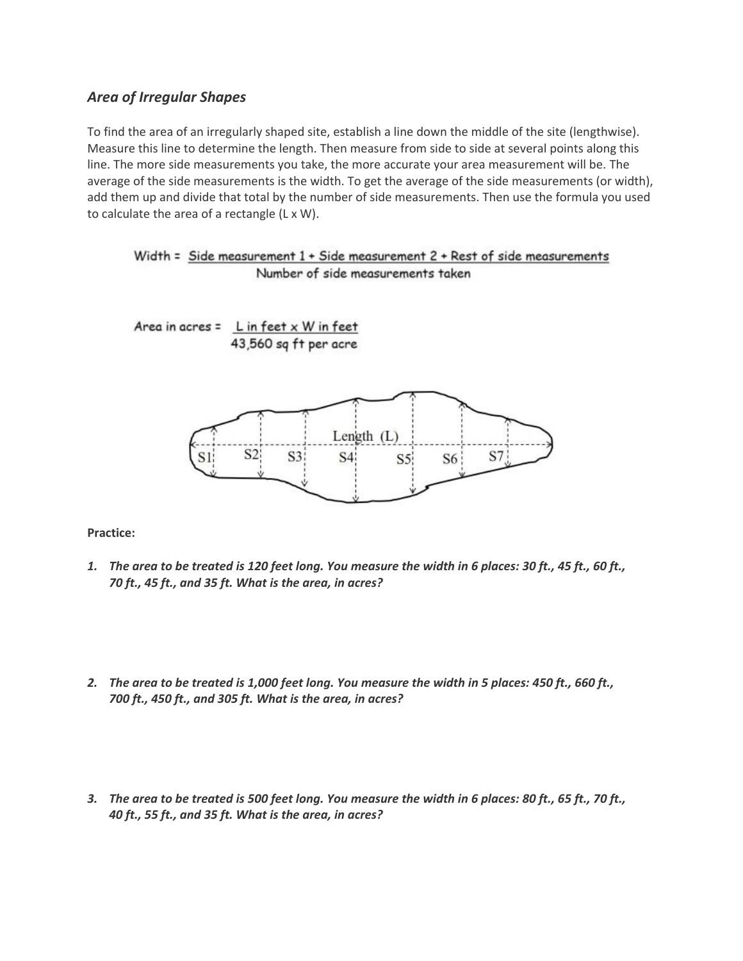## *Area of Irregular Shapes*

To find the area of an irregularly shaped site, establish a line down the middle of the site (lengthwise). Measure this line to determine the length. Then measure from side to side at several points along this line. The more side measurements you take, the more accurate your area measurement will be. The average of the side measurements is the width. To get the average of the side measurements (or width), add them up and divide that total by the number of side measurements. Then use the formula you used to calculate the area of a rectangle (L x W).

```
Width = Side measurement 1 + Side measurement 2 + Rest of side measurements
       Number of side measurements taken
```
Area in acres =  $L$  in feet x W in feet





**Practice:**

- *1. The area to be treated is 120 feet long. You measure the width in 6 places: 30 ft., 45 ft., 60 ft., 70 ft., 45 ft., and 35 ft. What is the area, in acres?*
- *2. The area to be treated is 1,000 feet long. You measure the width in 5 places: 450 ft., 660 ft., 700 ft., 450 ft., and 305 ft. What is the area, in acres?*
- *3. The area to be treated is 500 feet long. You measure the width in 6 places: 80 ft., 65 ft., 70 ft., 40 ft., 55 ft., and 35 ft. What is the area, in acres?*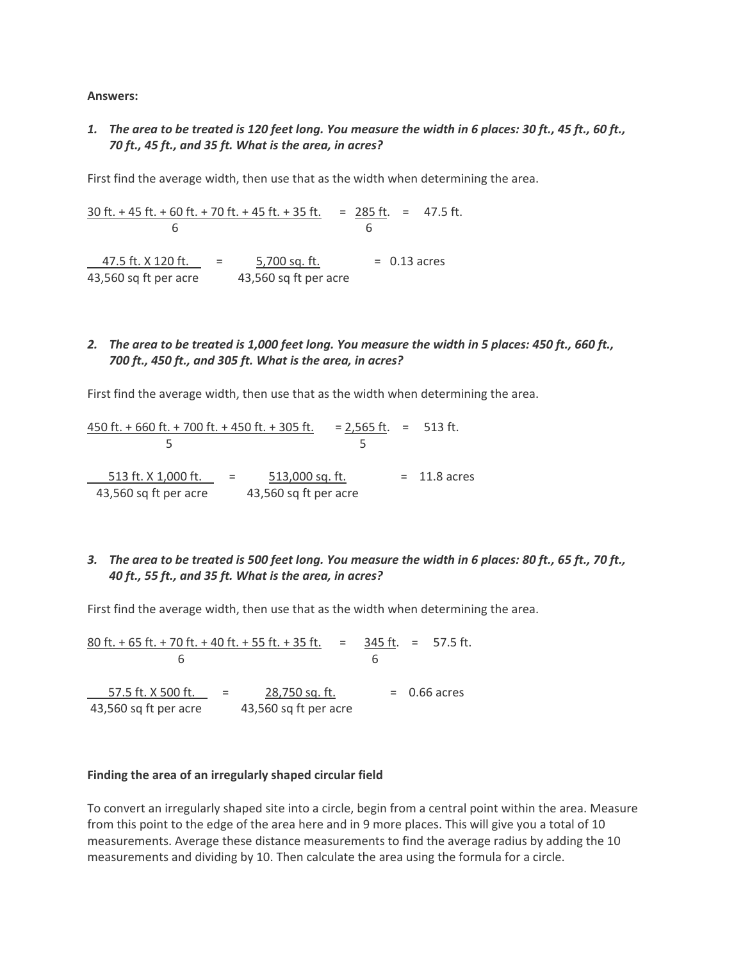**Answers:**

*1. The area to be treated is 120 feet long. You measure the width in 6 places: 30 ft., 45 ft., 60 ft., 70 ft., 45 ft., and 35 ft. What is the area, in acres?*

First find the average width, then use that as the width when determining the area.

30 ft. + 45 ft. + 60 ft. + 70 ft. + 45 ft. + 35 ft. =  $285$  ft. = 47.5 ft. 6 6  $47.5$  ft. X 120 ft.  $=$   $5,700$  sq. ft.  $=$  0.13 acres 43,560 sq ft per acre 43,560 sq ft per acre

## *2. The area to be treated is 1,000 feet long. You measure the width in 5 places: 450 ft., 660 ft., 700 ft., 450 ft., and 305 ft. What is the area, in acres?*

First find the average width, then use that as the width when determining the area.

 $450$  ft. + 660 ft. + 700 ft. + 450 ft. + 305 ft.  $= 2,565$  ft.  $= 513$  ft.  $5$  5 513 ft. X 1,000 ft.  $=$  513,000 sq. ft.  $=$  11.8 acres 43,560 sq ft per acre 43,560 sq ft per acre

## *3. The area to be treated is 500 feet long. You measure the width in 6 places: 80 ft., 65 ft., 70 ft., 40 ft., 55 ft., and 35 ft. What is the area, in acres?*

First find the average width, then use that as the width when determining the area.

80 ft. + 65 ft. + 70 ft. + 40 ft. + 55 ft. + 35 ft. = 345 ft. = 57.5 ft. 6 6  $57.5$  ft. X 500 ft.  $= 28,750$  sq. ft.  $= 0.66$  acres 43,560 sq ft per acre 43,560 sq ft per acre

## **Finding the area of an irregularly shaped circular field**

To convert an irregularly shaped site into a circle, begin from a central point within the area. Measure from this point to the edge of the area here and in 9 more places. This will give you a total of 10 measurements. Average these distance measurements to find the average radius by adding the 10 measurements and dividing by 10. Then calculate the area using the formula for a circle.